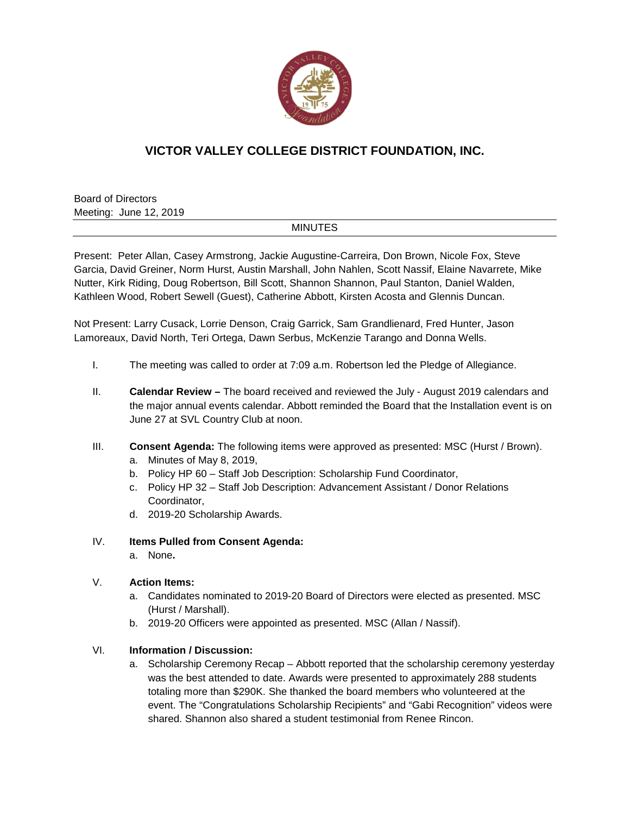

# **VICTOR VALLEY COLLEGE DISTRICT FOUNDATION, INC.**

Board of Directors Meeting: June 12, 2019

## MINUTES

Present: Peter Allan, Casey Armstrong, Jackie Augustine-Carreira, Don Brown, Nicole Fox, Steve Garcia, David Greiner, Norm Hurst, Austin Marshall, John Nahlen, Scott Nassif, Elaine Navarrete, Mike Nutter, Kirk Riding, Doug Robertson, Bill Scott, Shannon Shannon, Paul Stanton, Daniel Walden, Kathleen Wood, Robert Sewell (Guest), Catherine Abbott, Kirsten Acosta and Glennis Duncan.

Not Present: Larry Cusack, Lorrie Denson, Craig Garrick, Sam Grandlienard, Fred Hunter, Jason Lamoreaux, David North, Teri Ortega, Dawn Serbus, McKenzie Tarango and Donna Wells.

- I. The meeting was called to order at 7:09 a.m. Robertson led the Pledge of Allegiance.
- II. **Calendar Review –** The board received and reviewed the July August 2019 calendars and the major annual events calendar. Abbott reminded the Board that the Installation event is on June 27 at SVL Country Club at noon.
- III. **Consent Agenda:** The following items were approved as presented: MSC (Hurst / Brown).
	- a. Minutes of May 8, 2019,
	- b. Policy HP 60 Staff Job Description: Scholarship Fund Coordinator,
	- c. Policy HP 32 Staff Job Description: Advancement Assistant / Donor Relations Coordinator,
	- d. 2019-20 Scholarship Awards.
- IV. **Items Pulled from Consent Agenda:**
	- a. None**.**

### V. **Action Items:**

- a. Candidates nominated to 2019-20 Board of Directors were elected as presented. MSC (Hurst / Marshall).
- b. 2019-20 Officers were appointed as presented. MSC (Allan / Nassif).

### VI. **Information / Discussion:**

a. Scholarship Ceremony Recap – Abbott reported that the scholarship ceremony yesterday was the best attended to date. Awards were presented to approximately 288 students totaling more than \$290K. She thanked the board members who volunteered at the event. The "Congratulations Scholarship Recipients" and "Gabi Recognition" videos were shared. Shannon also shared a student testimonial from Renee Rincon.